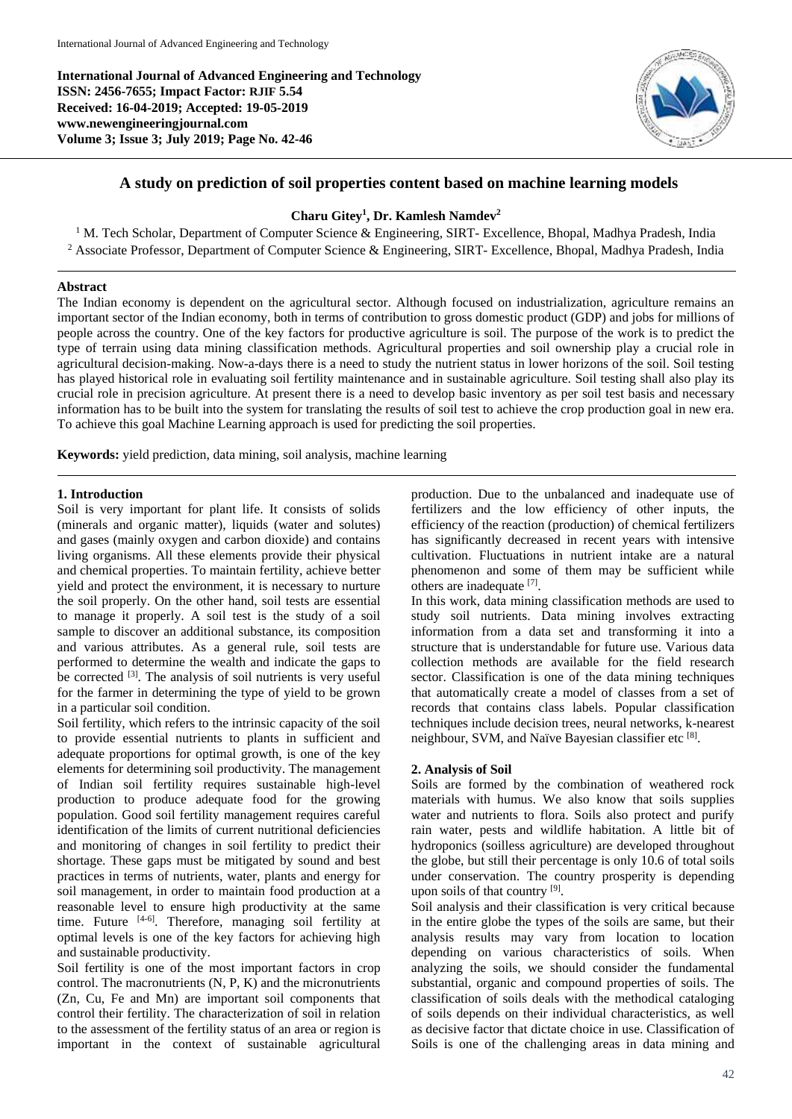**International Journal of Advanced Engineering and Technology ISSN: 2456-7655; Impact Factor: RJIF 5.54 Received: 16-04-2019; Accepted: 19-05-2019 www.newengineeringjournal.com Volume 3; Issue 3; July 2019; Page No. 42-46**



# **A study on prediction of soil properties content based on machine learning models**

#### **Charu Gitey<sup>1</sup> , Dr. Kamlesh Namdev<sup>2</sup>**

<sup>1</sup> M. Tech Scholar, Department of Computer Science & Engineering, SIRT- Excellence, Bhopal, Madhya Pradesh, India <sup>2</sup> Associate Professor, Department of Computer Science & Engineering, SIRT- Excellence, Bhopal, Madhya Pradesh, India

#### **Abstract**

The Indian economy is dependent on the agricultural sector. Although focused on industrialization, agriculture remains an important sector of the Indian economy, both in terms of contribution to gross domestic product (GDP) and jobs for millions of people across the country. One of the key factors for productive agriculture is soil. The purpose of the work is to predict the type of terrain using data mining classification methods. Agricultural properties and soil ownership play a crucial role in agricultural decision-making. Now-a-days there is a need to study the nutrient status in lower horizons of the soil. Soil testing has played historical role in evaluating soil fertility maintenance and in sustainable agriculture. Soil testing shall also play its crucial role in precision agriculture. At present there is a need to develop basic inventory as per soil test basis and necessary information has to be built into the system for translating the results of soil test to achieve the crop production goal in new era. To achieve this goal Machine Learning approach is used for predicting the soil properties.

**Keywords:** yield prediction, data mining, soil analysis, machine learning

#### **1. Introduction**

Soil is very important for plant life. It consists of solids (minerals and organic matter), liquids (water and solutes) and gases (mainly oxygen and carbon dioxide) and contains living organisms. All these elements provide their physical and chemical properties. To maintain fertility, achieve better yield and protect the environment, it is necessary to nurture the soil properly. On the other hand, soil tests are essential to manage it properly. A soil test is the study of a soil sample to discover an additional substance, its composition and various attributes. As a general rule, soil tests are performed to determine the wealth and indicate the gaps to be corrected  $^{[3]}$ . The analysis of soil nutrients is very useful for the farmer in determining the type of yield to be grown in a particular soil condition.

Soil fertility, which refers to the intrinsic capacity of the soil to provide essential nutrients to plants in sufficient and adequate proportions for optimal growth, is one of the key elements for determining soil productivity. The management of Indian soil fertility requires sustainable high-level production to produce adequate food for the growing population. Good soil fertility management requires careful identification of the limits of current nutritional deficiencies and monitoring of changes in soil fertility to predict their shortage. These gaps must be mitigated by sound and best practices in terms of nutrients, water, plants and energy for soil management, in order to maintain food production at a reasonable level to ensure high productivity at the same time. Future [4-6]. Therefore, managing soil fertility at optimal levels is one of the key factors for achieving high and sustainable productivity.

Soil fertility is one of the most important factors in crop control. The macronutrients (N, P, K) and the micronutrients (Zn, Cu, Fe and Mn) are important soil components that control their fertility. The characterization of soil in relation to the assessment of the fertility status of an area or region is important in the context of sustainable agricultural

production. Due to the unbalanced and inadequate use of fertilizers and the low efficiency of other inputs, the efficiency of the reaction (production) of chemical fertilizers has significantly decreased in recent years with intensive cultivation. Fluctuations in nutrient intake are a natural phenomenon and some of them may be sufficient while others are inadequate [7] .

In this work, data mining classification methods are used to study soil nutrients. Data mining involves extracting information from a data set and transforming it into a structure that is understandable for future use. Various data collection methods are available for the field research sector. Classification is one of the data mining techniques that automatically create a model of classes from a set of records that contains class labels. Popular classification techniques include decision trees, neural networks, k-nearest neighbour, SVM, and Naïve Bayesian classifier etc [8].

#### **2. Analysis of Soil**

Soils are formed by the combination of weathered rock materials with humus. We also know that soils supplies water and nutrients to flora. Soils also protect and purify rain water, pests and wildlife habitation. A little bit of hydroponics (soilless agriculture) are developed throughout the globe, but still their percentage is only 10.6 of total soils under conservation. The country prosperity is depending upon soils of that country [9].

Soil analysis and their classification is very critical because in the entire globe the types of the soils are same, but their analysis results may vary from location to location depending on various characteristics of soils. When analyzing the soils, we should consider the fundamental substantial, organic and compound properties of soils. The classification of soils deals with the methodical cataloging of soils depends on their individual characteristics, as well as decisive factor that dictate choice in use. Classification of Soils is one of the challenging areas in data mining and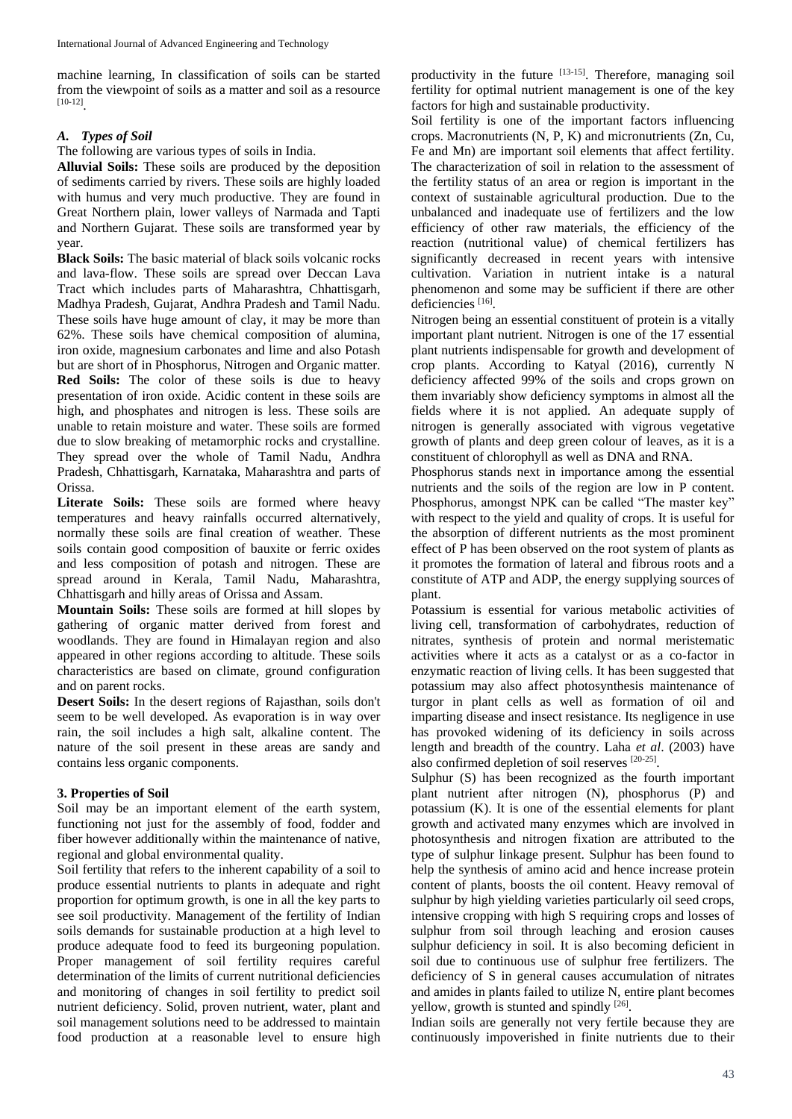machine learning, In classification of soils can be started from the viewpoint of soils as a matter and soil as a resource [10-12] .

# *A. Types of Soil*

The following are various types of soils in India.

**Alluvial Soils:** These soils are produced by the deposition of sediments carried by rivers. These soils are highly loaded with humus and very much productive. They are found in Great Northern plain, lower valleys of Narmada and Tapti and Northern Gujarat. These soils are transformed year by year.

**Black Soils:** The basic material of black soils volcanic rocks and lava-flow. These soils are spread over Deccan Lava Tract which includes parts of Maharashtra, Chhattisgarh, Madhya Pradesh, Gujarat, Andhra Pradesh and Tamil Nadu. These soils have huge amount of clay, it may be more than 62%. These soils have chemical composition of alumina, iron oxide, magnesium carbonates and lime and also Potash but are short of in Phosphorus, Nitrogen and Organic matter. **Red Soils:** The color of these soils is due to heavy presentation of iron oxide. Acidic content in these soils are high, and phosphates and nitrogen is less. These soils are unable to retain moisture and water. These soils are formed due to slow breaking of metamorphic rocks and crystalline. They spread over the whole of Tamil Nadu, Andhra Pradesh, Chhattisgarh, Karnataka, Maharashtra and parts of Orissa.

Literate Soils: These soils are formed where heavy temperatures and heavy rainfalls occurred alternatively, normally these soils are final creation of weather. These soils contain good composition of bauxite or ferric oxides and less composition of potash and nitrogen. These are spread around in Kerala, Tamil Nadu, Maharashtra, Chhattisgarh and hilly areas of Orissa and Assam.

**Mountain Soils:** These soils are formed at hill slopes by gathering of organic matter derived from forest and woodlands. They are found in Himalayan region and also appeared in other regions according to altitude. These soils characteristics are based on climate, ground configuration and on parent rocks.

**Desert Soils:** In the desert regions of Rajasthan, soils don't seem to be well developed. As evaporation is in way over rain, the soil includes a high salt, alkaline content. The nature of the soil present in these areas are sandy and contains less organic components.

## **3. Properties of Soil**

Soil may be an important element of the earth system, functioning not just for the assembly of food, fodder and fiber however additionally within the maintenance of native, regional and global environmental quality.

Soil fertility that refers to the inherent capability of a soil to produce essential nutrients to plants in adequate and right proportion for optimum growth, is one in all the key parts to see soil productivity. Management of the fertility of Indian soils demands for sustainable production at a high level to produce adequate food to feed its burgeoning population. Proper management of soil fertility requires careful determination of the limits of current nutritional deficiencies and monitoring of changes in soil fertility to predict soil nutrient deficiency. Solid, proven nutrient, water, plant and soil management solutions need to be addressed to maintain food production at a reasonable level to ensure high productivity in the future [13-15]. Therefore, managing soil fertility for optimal nutrient management is one of the key factors for high and sustainable productivity.

Soil fertility is one of the important factors influencing crops. Macronutrients (N, P, K) and micronutrients (Zn, Cu, Fe and Mn) are important soil elements that affect fertility. The characterization of soil in relation to the assessment of the fertility status of an area or region is important in the context of sustainable agricultural production. Due to the unbalanced and inadequate use of fertilizers and the low efficiency of other raw materials, the efficiency of the reaction (nutritional value) of chemical fertilizers has significantly decreased in recent years with intensive cultivation. Variation in nutrient intake is a natural phenomenon and some may be sufficient if there are other deficiencies [16].

Nitrogen being an essential constituent of protein is a vitally important plant nutrient. Nitrogen is one of the 17 essential plant nutrients indispensable for growth and development of crop plants. According to Katyal (2016), currently N deficiency affected 99% of the soils and crops grown on them invariably show deficiency symptoms in almost all the fields where it is not applied. An adequate supply of nitrogen is generally associated with vigrous vegetative growth of plants and deep green colour of leaves, as it is a constituent of chlorophyll as well as DNA and RNA.

Phosphorus stands next in importance among the essential nutrients and the soils of the region are low in P content. Phosphorus, amongst NPK can be called "The master key" with respect to the yield and quality of crops. It is useful for the absorption of different nutrients as the most prominent effect of P has been observed on the root system of plants as it promotes the formation of lateral and fibrous roots and a constitute of ATP and ADP, the energy supplying sources of plant.

Potassium is essential for various metabolic activities of living cell, transformation of carbohydrates, reduction of nitrates, synthesis of protein and normal meristematic activities where it acts as a catalyst or as a co-factor in enzymatic reaction of living cells. It has been suggested that potassium may also affect photosynthesis maintenance of turgor in plant cells as well as formation of oil and imparting disease and insect resistance. Its negligence in use has provoked widening of its deficiency in soils across length and breadth of the country. Laha *et al*. (2003) have also confirmed depletion of soil reserves [20-25] .

Sulphur (S) has been recognized as the fourth important plant nutrient after nitrogen (N), phosphorus (P) and potassium (K). It is one of the essential elements for plant growth and activated many enzymes which are involved in photosynthesis and nitrogen fixation are attributed to the type of sulphur linkage present. Sulphur has been found to help the synthesis of amino acid and hence increase protein content of plants, boosts the oil content. Heavy removal of sulphur by high yielding varieties particularly oil seed crops, intensive cropping with high S requiring crops and losses of sulphur from soil through leaching and erosion causes sulphur deficiency in soil. It is also becoming deficient in soil due to continuous use of sulphur free fertilizers. The deficiency of S in general causes accumulation of nitrates and amides in plants failed to utilize N, entire plant becomes yellow, growth is stunted and spindly [26].

Indian soils are generally not very fertile because they are continuously impoverished in finite nutrients due to their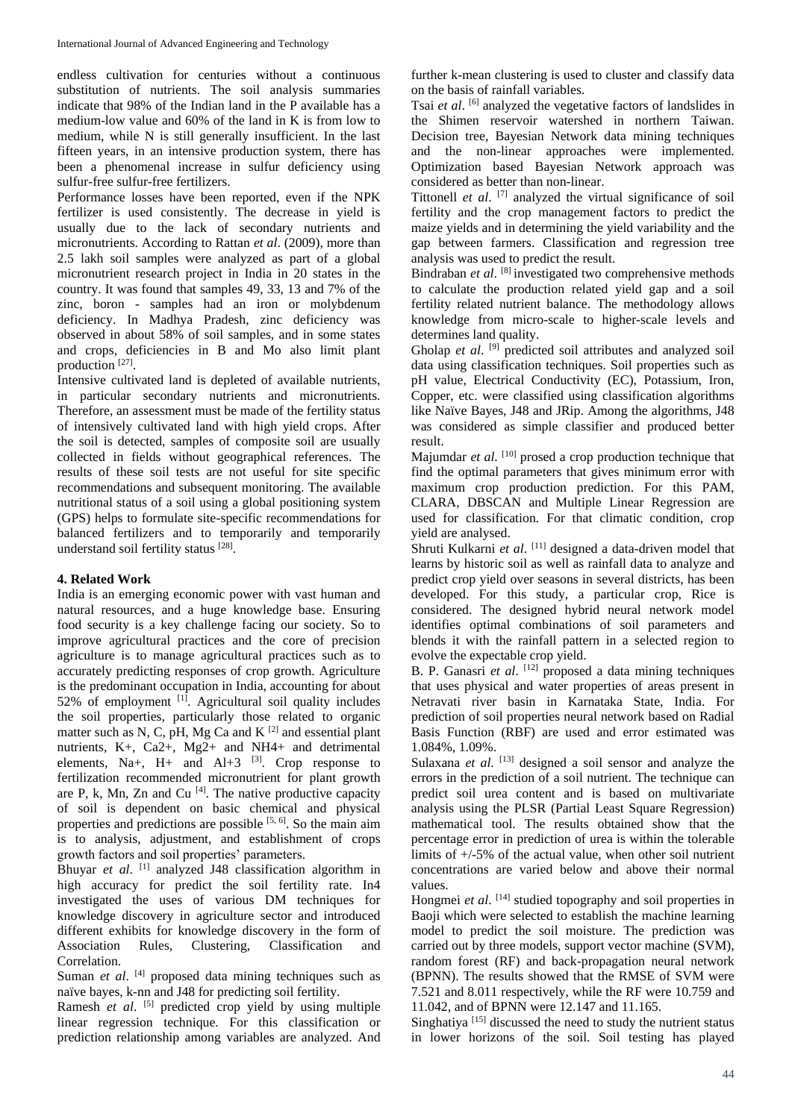endless cultivation for centuries without a continuous substitution of nutrients. The soil analysis summaries indicate that 98% of the Indian land in the P available has a medium-low value and 60% of the land in K is from low to medium, while N is still generally insufficient. In the last fifteen years, in an intensive production system, there has been a phenomenal increase in sulfur deficiency using sulfur-free sulfur-free fertilizers.

Performance losses have been reported, even if the NPK fertilizer is used consistently. The decrease in yield is usually due to the lack of secondary nutrients and micronutrients. According to Rattan *et al*. (2009), more than 2.5 lakh soil samples were analyzed as part of a global micronutrient research project in India in 20 states in the country. It was found that samples 49, 33, 13 and 7% of the zinc, boron - samples had an iron or molybdenum deficiency. In Madhya Pradesh, zinc deficiency was observed in about 58% of soil samples, and in some states and crops, deficiencies in B and Mo also limit plant production [27].

Intensive cultivated land is depleted of available nutrients, in particular secondary nutrients and micronutrients. Therefore, an assessment must be made of the fertility status of intensively cultivated land with high yield crops. After the soil is detected, samples of composite soil are usually collected in fields without geographical references. The results of these soil tests are not useful for site specific recommendations and subsequent monitoring. The available nutritional status of a soil using a global positioning system (GPS) helps to formulate site-specific recommendations for balanced fertilizers and to temporarily and temporarily understand soil fertility status [28].

#### **4. Related Work**

India is an emerging economic power with vast human and natural resources, and a huge knowledge base. Ensuring food security is a key challenge facing our society. So to improve agricultural practices and the core of precision agriculture is to manage agricultural practices such as to accurately predicting responses of crop growth. Agriculture is the predominant occupation in India, accounting for about 52% of employment [1]. Agricultural soil quality includes the soil properties, particularly those related to organic matter such as N, C, pH, Mg Ca and K [2] and essential plant nutrients, K+, Ca2+, Mg2+ and NH4+ and detrimental elements, Na+, H+ and Al+3 [3]. Crop response to fertilization recommended micronutrient for plant growth are P, k, Mn, Zn and Cu<sup>[4]</sup>. The native productive capacity of soil is dependent on basic chemical and physical properties and predictions are possible  $[5, 6]$ . So the main aim is to analysis, adjustment, and establishment of crops growth factors and soil properties' parameters.

Bhuyar *et al*. [1] analyzed J48 classification algorithm in high accuracy for predict the soil fertility rate. In4 investigated the uses of various DM techniques for knowledge discovery in agriculture sector and introduced different exhibits for knowledge discovery in the form of Association Rules, Clustering, Classification and Correlation.

Suman et al. [4] proposed data mining techniques such as naïve bayes, k-nn and J48 for predicting soil fertility.

Ramesh *et al.* [5] predicted crop yield by using multiple linear regression technique. For this classification or prediction relationship among variables are analyzed. And

further k-mean clustering is used to cluster and classify data on the basis of rainfall variables.

Tsai et al. <sup>[6]</sup> analyzed the vegetative factors of landslides in the Shimen reservoir watershed in northern Taiwan. Decision tree, Bayesian Network data mining techniques and the non-linear approaches were implemented. Optimization based Bayesian Network approach was considered as better than non-linear.

Tittonell *et al*. [7] analyzed the virtual significance of soil fertility and the crop management factors to predict the maize yields and in determining the yield variability and the gap between farmers. Classification and regression tree analysis was used to predict the result.

Bindraban et al. <sup>[8]</sup> investigated two comprehensive methods to calculate the production related yield gap and a soil fertility related nutrient balance. The methodology allows knowledge from micro-scale to higher-scale levels and determines land quality.

Gholap et al. <sup>[9]</sup> predicted soil attributes and analyzed soil data using classification techniques. Soil properties such as pH value, Electrical Conductivity (EC), Potassium, Iron, Copper, etc. were classified using classification algorithms like Naïve Bayes, J48 and JRip. Among the algorithms, J48 was considered as simple classifier and produced better result.

Majumdar et al. <sup>[10]</sup> prosed a crop production technique that find the optimal parameters that gives minimum error with maximum crop production prediction. For this PAM, CLARA, DBSCAN and Multiple Linear Regression are used for classification. For that climatic condition, crop yield are analysed.

Shruti Kulkarni et al. <a>[11]</a> designed a data-driven model that learns by historic soil as well as rainfall data to analyze and predict crop yield over seasons in several districts, has been developed. For this study, a particular crop, Rice is considered. The designed hybrid neural network model identifies optimal combinations of soil parameters and blends it with the rainfall pattern in a selected region to evolve the expectable crop yield.

B. P. Ganasri et al. <sup>[12]</sup> proposed a data mining techniques that uses physical and water properties of areas present in Netravati river basin in Karnataka State, India. For prediction of soil properties neural network based on Radial Basis Function (RBF) are used and error estimated was 1.084%, 1.09%.

Sulaxana et al. [13] designed a soil sensor and analyze the errors in the prediction of a soil nutrient. The technique can predict soil urea content and is based on multivariate analysis using the PLSR (Partial Least Square Regression) mathematical tool. The results obtained show that the percentage error in prediction of urea is within the tolerable limits of +/-5% of the actual value, when other soil nutrient concentrations are varied below and above their normal values.

Hongmei *et al.* <sup>[14]</sup> studied topography and soil properties in Baoji which were selected to establish the machine learning model to predict the soil moisture. The prediction was carried out by three models, support vector machine (SVM), random forest (RF) and back-propagation neural network (BPNN). The results showed that the RMSE of SVM were 7.521 and 8.011 respectively, while the RF were 10.759 and 11.042, and of BPNN were 12.147 and 11.165.

Singhatiya<sup>[15]</sup> discussed the need to study the nutrient status in lower horizons of the soil. Soil testing has played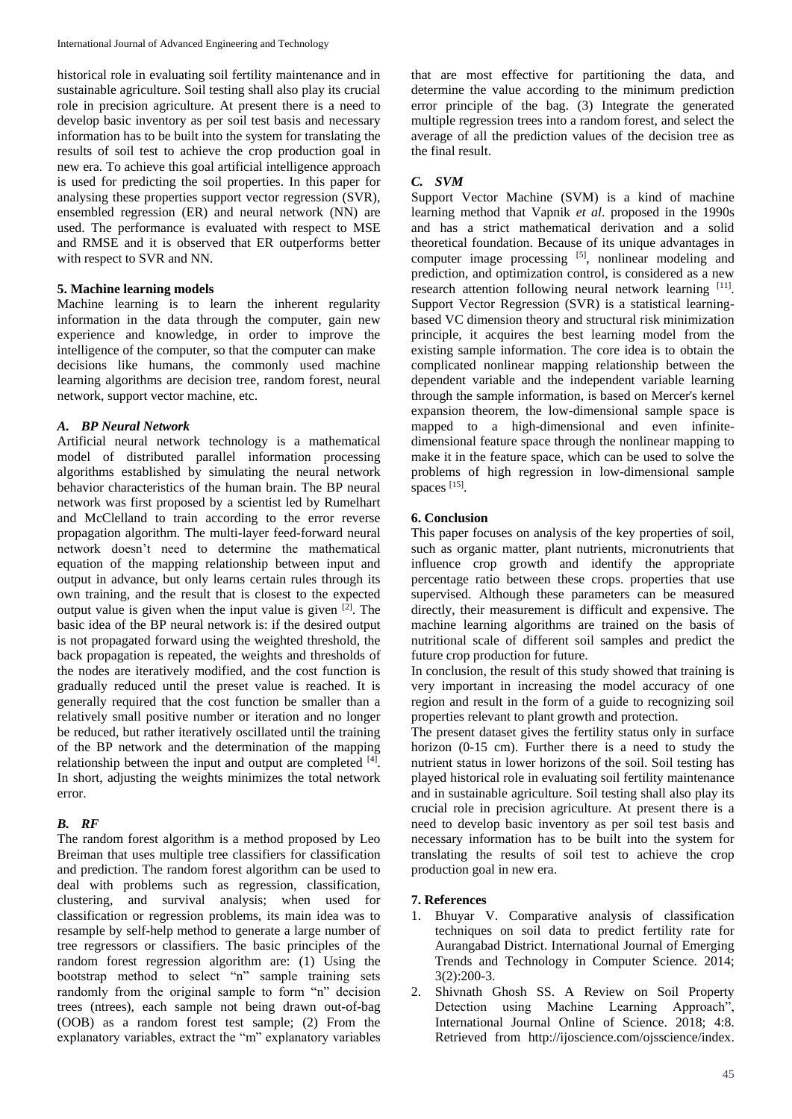historical role in evaluating soil fertility maintenance and in sustainable agriculture. Soil testing shall also play its crucial role in precision agriculture. At present there is a need to develop basic inventory as per soil test basis and necessary information has to be built into the system for translating the results of soil test to achieve the crop production goal in new era. To achieve this goal artificial intelligence approach is used for predicting the soil properties. In this paper for analysing these properties support vector regression (SVR), ensembled regression (ER) and neural network (NN) are used. The performance is evaluated with respect to MSE and RMSE and it is observed that ER outperforms better with respect to SVR and NN.

### **5. Machine learning models**

Machine learning is to learn the inherent regularity information in the data through the computer, gain new experience and knowledge, in order to improve the intelligence of the computer, so that the computer can make decisions like humans, the commonly used machine learning algorithms are decision tree, random forest, neural network, support vector machine, etc.

## *A. BP Neural Network*

Artificial neural network technology is a mathematical model of distributed parallel information processing algorithms established by simulating the neural network behavior characteristics of the human brain. The BP neural network was first proposed by a scientist led by Rumelhart and McClelland to train according to the error reverse propagation algorithm. The multi-layer feed-forward neural network doesn't need to determine the mathematical equation of the mapping relationship between input and output in advance, but only learns certain rules through its own training, and the result that is closest to the expected output value is given when the input value is given  $\left[2\right]$ . The basic idea of the BP neural network is: if the desired output is not propagated forward using the weighted threshold, the back propagation is repeated, the weights and thresholds of the nodes are iteratively modified, and the cost function is gradually reduced until the preset value is reached. It is generally required that the cost function be smaller than a relatively small positive number or iteration and no longer be reduced, but rather iteratively oscillated until the training of the BP network and the determination of the mapping relationship between the input and output are completed  $[4]$ . In short, adjusting the weights minimizes the total network error.

## *B. RF*

The random forest algorithm is a method proposed by Leo Breiman that uses multiple tree classifiers for classification and prediction. The random forest algorithm can be used to deal with problems such as regression, classification, clustering, and survival analysis; when used for classification or regression problems, its main idea was to resample by self-help method to generate a large number of tree regressors or classifiers. The basic principles of the random forest regression algorithm are: (1) Using the bootstrap method to select "n" sample training sets randomly from the original sample to form "n" decision trees (ntrees), each sample not being drawn out-of-bag (OOB) as a random forest test sample; (2) From the explanatory variables, extract the "m" explanatory variables

that are most effective for partitioning the data, and determine the value according to the minimum prediction error principle of the bag. (3) Integrate the generated multiple regression trees into a random forest, and select the average of all the prediction values of the decision tree as the final result.

# *C. SVM*

Support Vector Machine (SVM) is a kind of machine learning method that Vapnik *et al*. proposed in the 1990s and has a strict mathematical derivation and a solid theoretical foundation. Because of its unique advantages in computer image processing [5], nonlinear modeling and prediction, and optimization control, is considered as a new research attention following neural network learning [11]. Support Vector Regression (SVR) is a statistical learningbased VC dimension theory and structural risk minimization principle, it acquires the best learning model from the existing sample information. The core idea is to obtain the complicated nonlinear mapping relationship between the dependent variable and the independent variable learning through the sample information, is based on Mercer's kernel expansion theorem, the low-dimensional sample space is mapped to a high-dimensional and even infinitedimensional feature space through the nonlinear mapping to make it in the feature space, which can be used to solve the problems of high regression in low-dimensional sample spaces [15].

### **6. Conclusion**

This paper focuses on analysis of the key properties of soil, such as organic matter, plant nutrients, micronutrients that influence crop growth and identify the appropriate percentage ratio between these crops. properties that use supervised. Although these parameters can be measured directly, their measurement is difficult and expensive. The machine learning algorithms are trained on the basis of nutritional scale of different soil samples and predict the future crop production for future.

In conclusion, the result of this study showed that training is very important in increasing the model accuracy of one region and result in the form of a guide to recognizing soil properties relevant to plant growth and protection.

The present dataset gives the fertility status only in surface horizon (0-15 cm). Further there is a need to study the nutrient status in lower horizons of the soil. Soil testing has played historical role in evaluating soil fertility maintenance and in sustainable agriculture. Soil testing shall also play its crucial role in precision agriculture. At present there is a need to develop basic inventory as per soil test basis and necessary information has to be built into the system for translating the results of soil test to achieve the crop production goal in new era.

#### **7. References**

- 1. Bhuyar V. Comparative analysis of classification techniques on soil data to predict fertility rate for Aurangabad District. International Journal of Emerging Trends and Technology in Computer Science. 2014; 3(2):200-3.
- 2. Shivnath Ghosh SS. A Review on Soil Property Detection using Machine Learning Approach", International Journal Online of Science. 2018; 4:8. Retrieved from http://ijoscience.com/ojsscience/index.